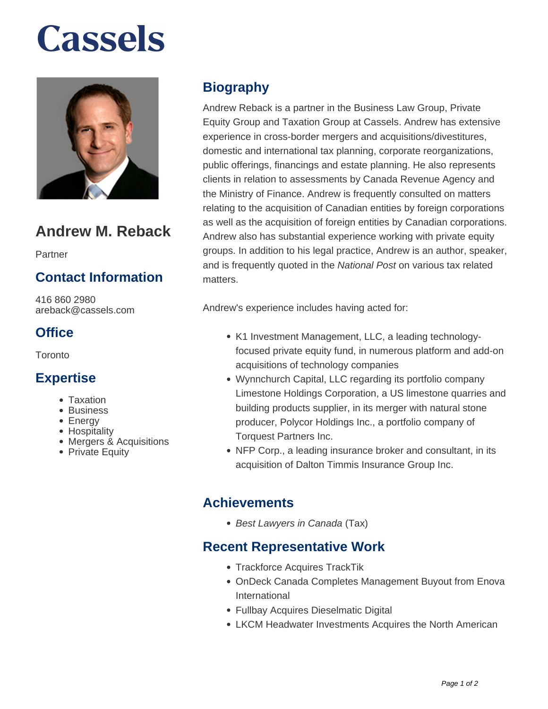# **Cassels**



# **Andrew M. Reback**

Partner

### **Contact Information**

416 860 2980 areback@cassels.com

### **Office**

Toronto

#### **Expertise**

- Taxation
- Business
- Energy
- Hospitality
- Mergers & Acquisitions
- Private Equity

## **Biography**

Andrew Reback is a partner in the Business Law Group, Private Equity Group and Taxation Group at Cassels. Andrew has extensive experience in cross-border mergers and acquisitions/divestitures, domestic and international tax planning, corporate reorganizations, public offerings, financings and estate planning. He also represents clients in relation to assessments by Canada Revenue Agency and the Ministry of Finance. Andrew is frequently consulted on matters relating to the acquisition of Canadian entities by foreign corporations as well as the acquisition of foreign entities by Canadian corporations. Andrew also has substantial experience working with private equity groups. In addition to his legal practice, Andrew is an author, speaker, and is frequently quoted in the National Post on various tax related matters.

Andrew's experience includes having acted for:

- K1 Investment Management, LLC, a leading technologyfocused private equity fund, in numerous platform and add-on acquisitions of technology companies
- Wynnchurch Capital, LLC regarding its portfolio company Limestone Holdings Corporation, a US limestone quarries and building products supplier, in its merger with natural stone producer, Polycor Holdings Inc., a portfolio company of Torquest Partners Inc.
- NFP Corp., a leading insurance broker and consultant, in its acquisition of Dalton Timmis Insurance Group Inc.

#### **Achievements**

• Best Lawyers in Canada (Tax)

#### **Recent Representative Work**

- Trackforce Acquires TrackTik
- OnDeck Canada Completes Management Buyout from Enova International
- Fullbay Acquires Dieselmatic Digital
- LKCM Headwater Investments Acquires the North American